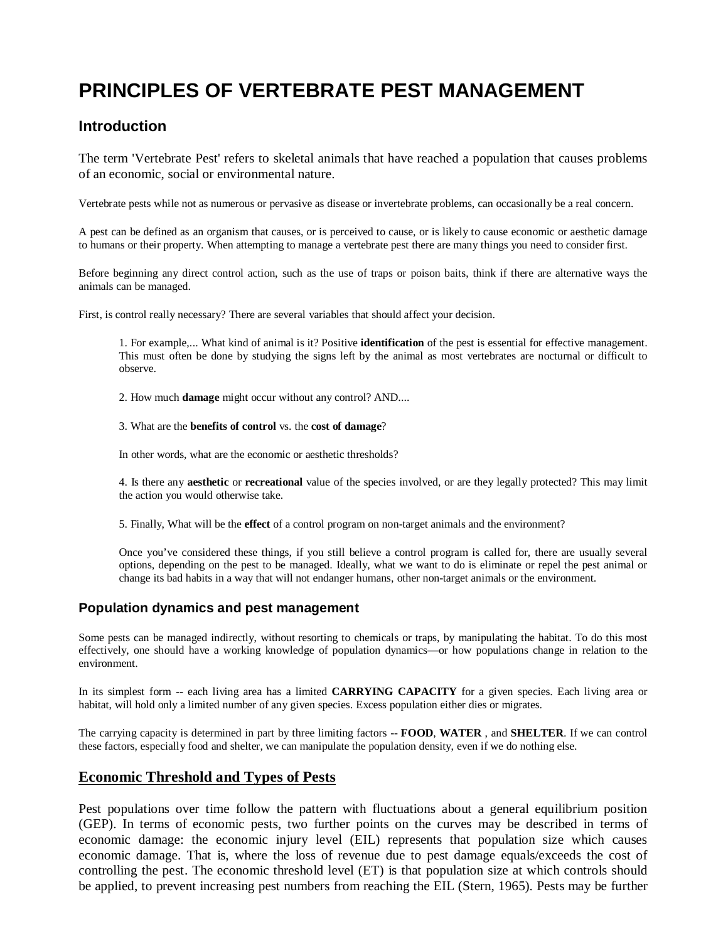# **PRINCIPLES OF VERTEBRATE PEST MANAGEMENT**

# **Introduction**

The term 'Vertebrate Pest' refers to skeletal animals that have reached a population that causes problems of an economic, social or environmental nature.

Vertebrate pests while not as numerous or pervasive as disease or invertebrate problems, can occasionally be a real concern.

A pest can be defined as an organism that causes, or is perceived to cause, or is likely to cause economic or aesthetic damage to humans or their property. When attempting to manage a vertebrate pest there are many things you need to consider first.

Before beginning any direct control action, such as the use of traps or poison baits, think if there are alternative ways the animals can be managed.

First, is control really necessary? There are several variables that should affect your decision.

1. For example,... What kind of animal is it? Positive **identification** of the pest is essential for effective management. This must often be done by studying the signs left by the animal as most vertebrates are nocturnal or difficult to observe.

2. How much **damage** might occur without any control? AND....

3. What are the **benefits of control** vs. the **cost of damage**?

In other words, what are the economic or aesthetic thresholds?

4. Is there any **aesthetic** or **recreational** value of the species involved, or are they legally protected? This may limit the action you would otherwise take.

5. Finally, What will be the **effect** of a control program on non-target animals and the environment?

Once you've considered these things, if you still believe a control program is called for, there are usually several options, depending on the pest to be managed. Ideally, what we want to do is eliminate or repel the pest animal or change its bad habits in a way that will not endanger humans, other non-target animals or the environment.

# **Population dynamics and pest management**

Some pests can be managed indirectly, without resorting to chemicals or traps, by manipulating the habitat. To do this most effectively, one should have a working knowledge of population dynamics—or how populations change in relation to the environment.

In its simplest form -- each living area has a limited **CARRYING CAPACITY** for a given species. Each living area or habitat, will hold only a limited number of any given species. Excess population either dies or migrates.

The carrying capacity is determined in part by three limiting factors -- **FOOD**, **WATER** , and **SHELTER**. If we can control these factors, especially food and shelter, we can manipulate the population density, even if we do nothing else.

# **Economic Threshold and Types of Pests**

Pest populations over time follow the pattern with fluctuations about a general equilibrium position (GEP). In terms of economic pests, two further points on the curves may be described in terms of economic damage: the economic injury level (EIL) represents that population size which causes economic damage. That is, where the loss of revenue due to pest damage equals/exceeds the cost of controlling the pest. The economic threshold level (ET) is that population size at which controls should be applied, to prevent increasing pest numbers from reaching the EIL (Stern, 1965). Pests may be further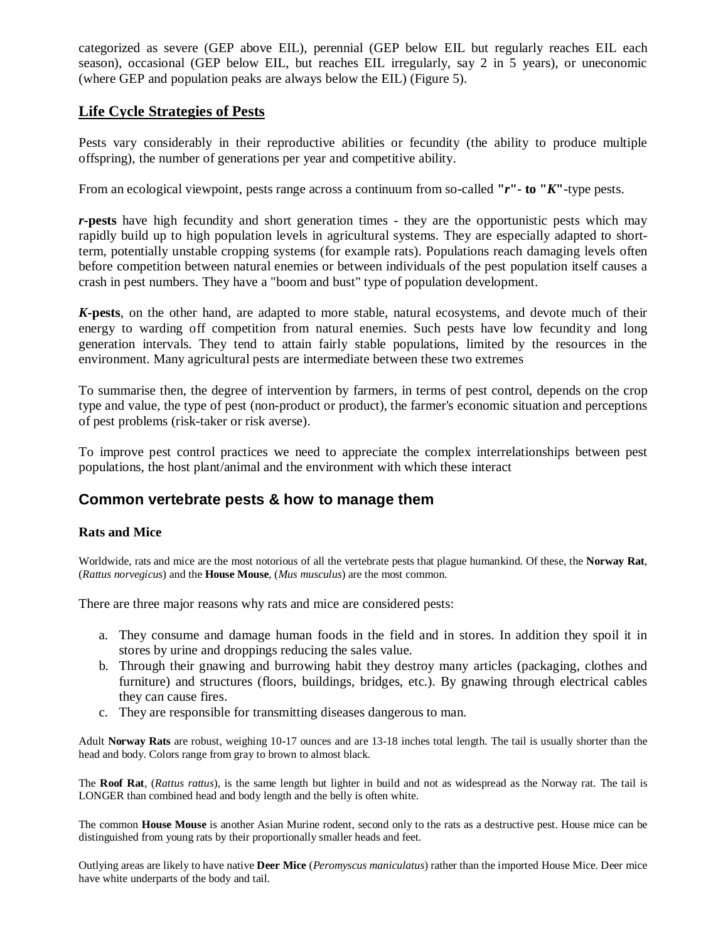categorized as severe (GEP above EIL), perennial (GEP below EIL but regularly reaches EIL each season), occasional (GEP below EIL, but reaches EIL irregularly, say 2 in 5 years), or uneconomic (where GEP and population peaks are always below the EIL) (Figure 5).

# **Life Cycle Strategies of Pests**

Pests vary considerably in their reproductive abilities or fecundity (the ability to produce multiple offspring), the number of generations per year and competitive ability.

From an ecological viewpoint, pests range across a continuum from so-called **"***r***"**- **to "***K***"**-type pests.

*r***-pests** have high fecundity and short generation times - they are the opportunistic pests which may rapidly build up to high population levels in agricultural systems. They are especially adapted to shortterm, potentially unstable cropping systems (for example rats). Populations reach damaging levels often before competition between natural enemies or between individuals of the pest population itself causes a crash in pest numbers. They have a "boom and bust" type of population development.

*K***-pests**, on the other hand, are adapted to more stable, natural ecosystems, and devote much of their energy to warding off competition from natural enemies. Such pests have low fecundity and long generation intervals. They tend to attain fairly stable populations, limited by the resources in the environment. Many agricultural pests are intermediate between these two extremes

To summarise then, the degree of intervention by farmers, in terms of pest control, depends on the crop type and value, the type of pest (non-product or product), the farmer's economic situation and perceptions of pest problems (risk-taker or risk averse).

To improve pest control practices we need to appreciate the complex interrelationships between pest populations, the host plant/animal and the environment with which these interact

# **Common vertebrate pests & how to manage them**

# **Rats and Mice**

Worldwide, rats and mice are the most notorious of all the vertebrate pests that plague humankind. Of these, the **Norway Rat**, (*Rattus norvegicus*) and the **House Mouse**, (*Mus musculus*) are the most common.

There are three major reasons why rats and mice are considered pests:

- a. They consume and damage human foods in the field and in stores. In addition they spoil it in stores by urine and droppings reducing the sales value.
- b. Through their gnawing and burrowing habit they destroy many articles (packaging, clothes and furniture) and structures (floors, buildings, bridges, etc.). By gnawing through electrical cables they can cause fires.
- c. They are responsible for transmitting diseases dangerous to man.

Adult **Norway Rats** are robust, weighing 10-17 ounces and are 13-18 inches total length. The tail is usually shorter than the head and body. Colors range from gray to brown to almost black.

The **Roof Rat**, (*Rattus rattus*), is the same length but lighter in build and not as widespread as the Norway rat. The tail is LONGER than combined head and body length and the belly is often white.

The common **House Mouse** is another Asian Murine rodent, second only to the rats as a destructive pest. House mice can be distinguished from young rats by their proportionally smaller heads and feet.

Outlying areas are likely to have native **Deer Mice** (*Peromyscus maniculatus*) rather than the imported House Mice. Deer mice have white underparts of the body and tail.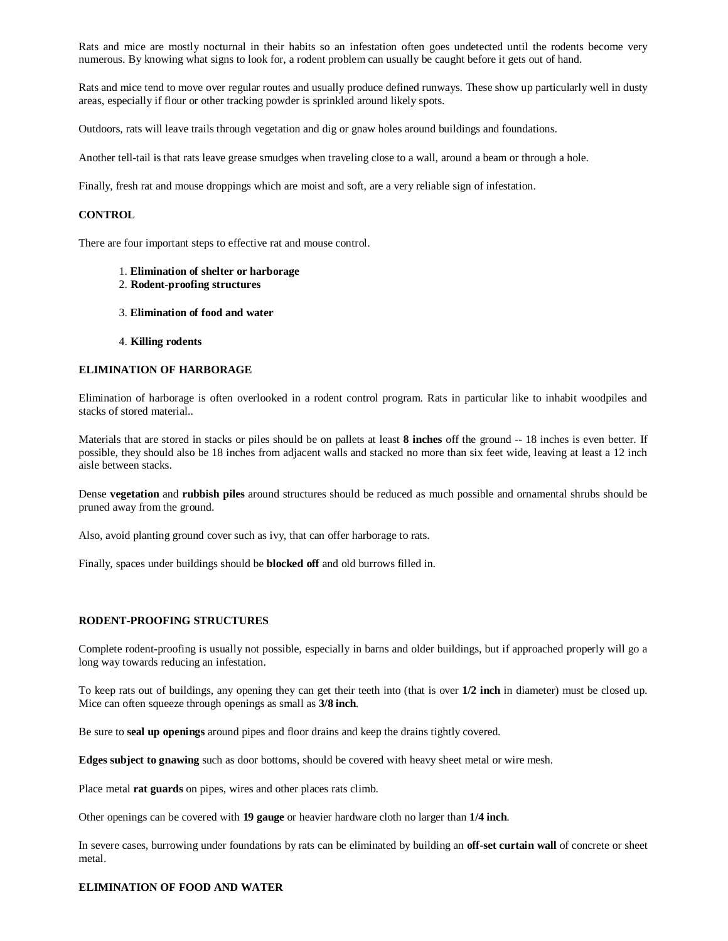Rats and mice are mostly nocturnal in their habits so an infestation often goes undetected until the rodents become very numerous. By knowing what signs to look for, a rodent problem can usually be caught before it gets out of hand.

Rats and mice tend to move over regular routes and usually produce defined runways. These show up particularly well in dusty areas, especially if flour or other tracking powder is sprinkled around likely spots.

Outdoors, rats will leave trails through vegetation and dig or gnaw holes around buildings and foundations.

Another tell-tail is that rats leave grease smudges when traveling close to a wall, around a beam or through a hole.

Finally, fresh rat and mouse droppings which are moist and soft, are a very reliable sign of infestation.

#### **CONTROL**

There are four important steps to effective rat and mouse control.

- 1. **Elimination of shelter or harborage**
- 2. **Rodent-proofing structures**
- 3. **Elimination of food and water**
- 4. **Killing rodents**

#### **ELIMINATION OF HARBORAGE**

Elimination of harborage is often overlooked in a rodent control program. Rats in particular like to inhabit woodpiles and stacks of stored material..

Materials that are stored in stacks or piles should be on pallets at least **8 inches** off the ground -- 18 inches is even better. If possible, they should also be 18 inches from adjacent walls and stacked no more than six feet wide, leaving at least a 12 inch aisle between stacks.

Dense **vegetation** and **rubbish piles** around structures should be reduced as much possible and ornamental shrubs should be pruned away from the ground.

Also, avoid planting ground cover such as ivy, that can offer harborage to rats.

Finally, spaces under buildings should be **blocked off** and old burrows filled in.

#### **RODENT-PROOFING STRUCTURES**

Complete rodent-proofing is usually not possible, especially in barns and older buildings, but if approached properly will go a long way towards reducing an infestation.

To keep rats out of buildings, any opening they can get their teeth into (that is over **1/2 inch** in diameter) must be closed up. Mice can often squeeze through openings as small as **3/8 inch**.

Be sure to **seal up openings** around pipes and floor drains and keep the drains tightly covered.

**Edges subject to gnawing** such as door bottoms, should be covered with heavy sheet metal or wire mesh.

Place metal **rat guards** on pipes, wires and other places rats climb.

Other openings can be covered with **19 gauge** or heavier hardware cloth no larger than **1/4 inch**.

In severe cases, burrowing under foundations by rats can be eliminated by building an **off-set curtain wall** of concrete or sheet metal.

#### **ELIMINATION OF FOOD AND WATER**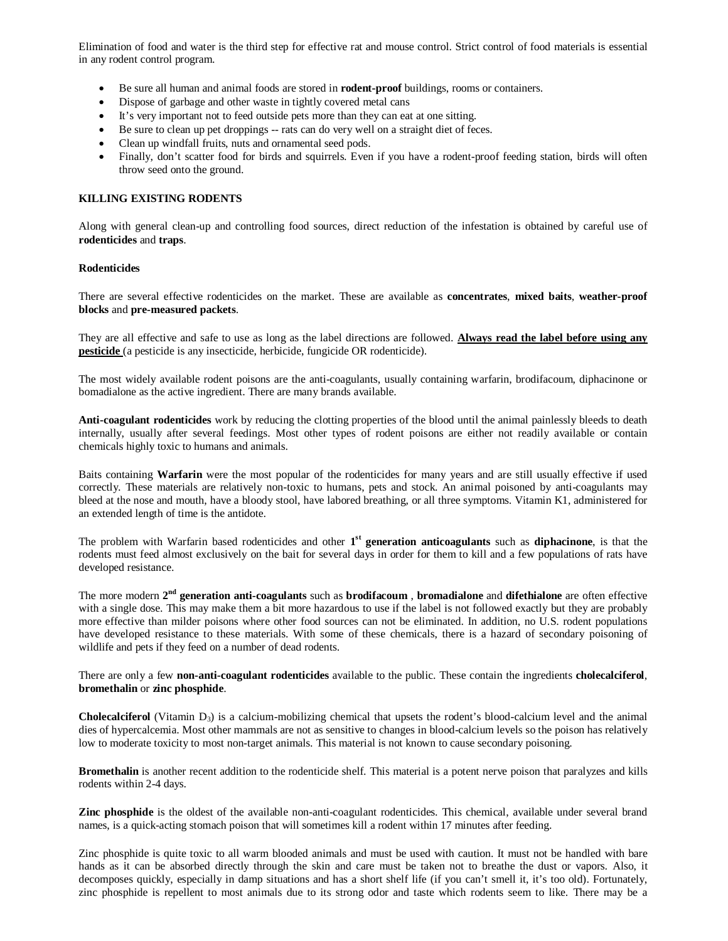Elimination of food and water is the third step for effective rat and mouse control. Strict control of food materials is essential in any rodent control program.

- Be sure all human and animal foods are stored in **rodent-proof** buildings, rooms or containers.
- Dispose of garbage and other waste in tightly covered metal cans
- It's very important not to feed outside pets more than they can eat at one sitting.
- Be sure to clean up pet droppings -- rats can do very well on a straight diet of feces.
- Clean up windfall fruits, nuts and ornamental seed pods.
- Finally, don't scatter food for birds and squirrels. Even if you have a rodent-proof feeding station, birds will often throw seed onto the ground.

### **KILLING EXISTING RODENTS**

Along with general clean-up and controlling food sources, direct reduction of the infestation is obtained by careful use of **rodenticides** and **traps**.

## **Rodenticides**

There are several effective rodenticides on the market. These are available as **concentrates**, **mixed baits**, **weather-proof blocks** and **pre-measured packets**.

They are all effective and safe to use as long as the label directions are followed. **Always read the label before using any pesticide** (a pesticide is any insecticide, herbicide, fungicide OR rodenticide).

The most widely available rodent poisons are the anti-coagulants, usually containing warfarin, brodifacoum, diphacinone or bomadialone as the active ingredient. There are many brands available.

**Anti-coagulant rodenticides** work by reducing the clotting properties of the blood until the animal painlessly bleeds to death internally, usually after several feedings. Most other types of rodent poisons are either not readily available or contain chemicals highly toxic to humans and animals.

Baits containing **Warfarin** were the most popular of the rodenticides for many years and are still usually effective if used correctly. These materials are relatively non-toxic to humans, pets and stock. An animal poisoned by anti-coagulants may bleed at the nose and mouth, have a bloody stool, have labored breathing, or all three symptoms. Vitamin K1, administered for an extended length of time is the antidote.

The problem with Warfarin based rodenticides and other **1 st generation anticoagulants** such as **diphacinone**, is that the rodents must feed almost exclusively on the bait for several days in order for them to kill and a few populations of rats have developed resistance.

The more modern **2 nd generation anti-coagulants** such as **brodifacoum** , **bromadialone** and **difethialone** are often effective with a single dose. This may make them a bit more hazardous to use if the label is not followed exactly but they are probably more effective than milder poisons where other food sources can not be eliminated. In addition, no U.S. rodent populations have developed resistance to these materials. With some of these chemicals, there is a hazard of secondary poisoning of wildlife and pets if they feed on a number of dead rodents.

There are only a few **non-anti-coagulant rodenticides** available to the public. These contain the ingredients **cholecalciferol**, **bromethalin** or **zinc phosphide**.

**Cholecalciferol** (Vitamin D<sub>3</sub>) is a calcium-mobilizing chemical that upsets the rodent's blood-calcium level and the animal dies of hypercalcemia. Most other mammals are not as sensitive to changes in blood-calcium levels so the poison has relatively low to moderate toxicity to most non-target animals. This material is not known to cause secondary poisoning.

**Bromethalin** is another recent addition to the rodenticide shelf. This material is a potent nerve poison that paralyzes and kills rodents within 2-4 days.

**Zinc phosphide** is the oldest of the available non-anti-coagulant rodenticides. This chemical, available under several brand names, is a quick-acting stomach poison that will sometimes kill a rodent within 17 minutes after feeding.

Zinc phosphide is quite toxic to all warm blooded animals and must be used with caution. It must not be handled with bare hands as it can be absorbed directly through the skin and care must be taken not to breathe the dust or vapors. Also, it decomposes quickly, especially in damp situations and has a short shelf life (if you can't smell it, it's too old). Fortunately, zinc phosphide is repellent to most animals due to its strong odor and taste which rodents seem to like. There may be a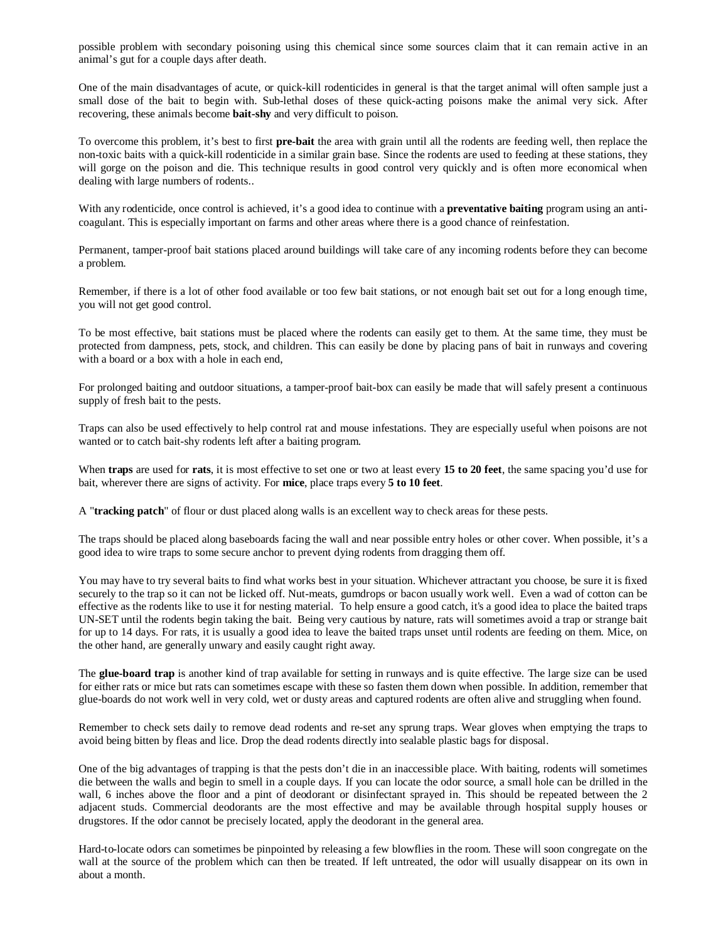possible problem with secondary poisoning using this chemical since some sources claim that it can remain active in an animal's gut for a couple days after death.

One of the main disadvantages of acute, or quick-kill rodenticides in general is that the target animal will often sample just a small dose of the bait to begin with. Sub-lethal doses of these quick-acting poisons make the animal very sick. After recovering, these animals become **bait-shy** and very difficult to poison.

To overcome this problem, it's best to first **pre-bait** the area with grain until all the rodents are feeding well, then replace the non-toxic baits with a quick-kill rodenticide in a similar grain base. Since the rodents are used to feeding at these stations, they will gorge on the poison and die. This technique results in good control very quickly and is often more economical when dealing with large numbers of rodents..

With any rodenticide, once control is achieved, it's a good idea to continue with a **preventative baiting** program using an anticoagulant. This is especially important on farms and other areas where there is a good chance of reinfestation.

Permanent, tamper-proof bait stations placed around buildings will take care of any incoming rodents before they can become a problem.

Remember, if there is a lot of other food available or too few bait stations, or not enough bait set out for a long enough time, you will not get good control.

To be most effective, bait stations must be placed where the rodents can easily get to them. At the same time, they must be protected from dampness, pets, stock, and children. This can easily be done by placing pans of bait in runways and covering with a board or a box with a hole in each end,

For prolonged baiting and outdoor situations, a tamper-proof bait-box can easily be made that will safely present a continuous supply of fresh bait to the pests.

Traps can also be used effectively to help control rat and mouse infestations. They are especially useful when poisons are not wanted or to catch bait-shy rodents left after a baiting program.

When **traps** are used for **rats**, it is most effective to set one or two at least every **15 to 20 feet**, the same spacing you'd use for bait, wherever there are signs of activity. For **mice**, place traps every **5 to 10 feet**.

A "**tracking patch**" of flour or dust placed along walls is an excellent way to check areas for these pests.

The traps should be placed along baseboards facing the wall and near possible entry holes or other cover. When possible, it's a good idea to wire traps to some secure anchor to prevent dying rodents from dragging them off.

You may have to try several baits to find what works best in your situation. Whichever attractant you choose, be sure it is fixed securely to the trap so it can not be licked off. Nut-meats, gumdrops or bacon usually work well. Even a wad of cotton can be effective as the rodents like to use it for nesting material. To help ensure a good catch, it's a good idea to place the baited traps UN-SET until the rodents begin taking the bait. Being very cautious by nature, rats will sometimes avoid a trap or strange bait for up to 14 days. For rats, it is usually a good idea to leave the baited traps unset until rodents are feeding on them. Mice, on the other hand, are generally unwary and easily caught right away.

The **glue-board trap** is another kind of trap available for setting in runways and is quite effective. The large size can be used for either rats or mice but rats can sometimes escape with these so fasten them down when possible. In addition, remember that glue-boards do not work well in very cold, wet or dusty areas and captured rodents are often alive and struggling when found.

Remember to check sets daily to remove dead rodents and re-set any sprung traps. Wear gloves when emptying the traps to avoid being bitten by fleas and lice. Drop the dead rodents directly into sealable plastic bags for disposal.

One of the big advantages of trapping is that the pests don't die in an inaccessible place. With baiting, rodents will sometimes die between the walls and begin to smell in a couple days. If you can locate the odor source, a small hole can be drilled in the wall, 6 inches above the floor and a pint of deodorant or disinfectant sprayed in. This should be repeated between the 2 adjacent studs. Commercial deodorants are the most effective and may be available through hospital supply houses or drugstores. If the odor cannot be precisely located, apply the deodorant in the general area.

Hard-to-locate odors can sometimes be pinpointed by releasing a few blowflies in the room. These will soon congregate on the wall at the source of the problem which can then be treated. If left untreated, the odor will usually disappear on its own in about a month.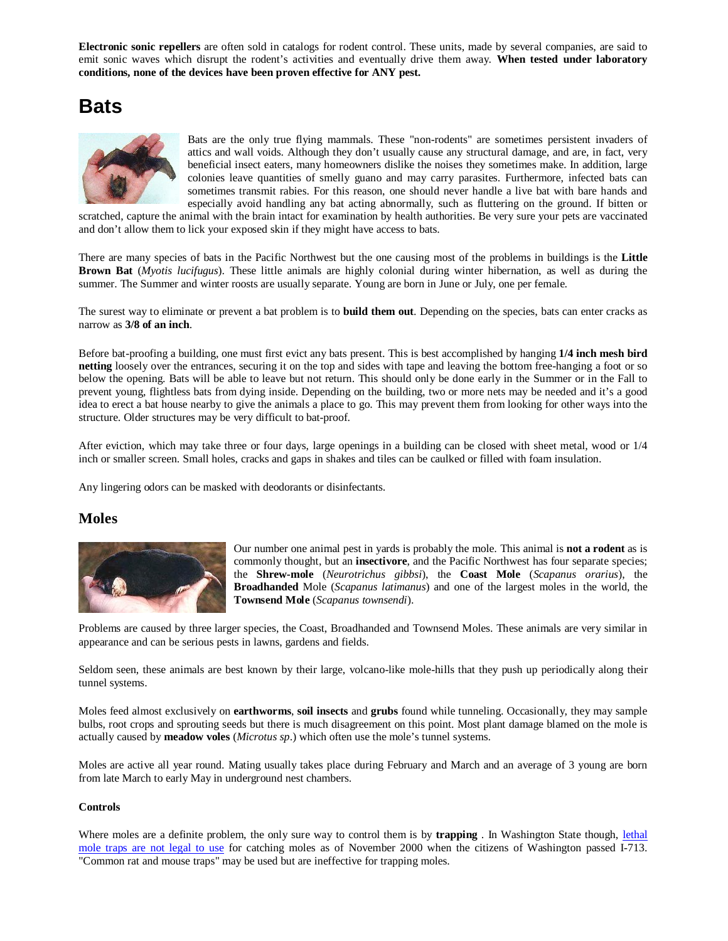**Electronic sonic repellers** are often sold in catalogs for rodent control. These units, made by several companies, are said to emit sonic waves which disrupt the rodent's activities and eventually drive them away. **When tested under laboratory conditions, none of the devices have been proven effective for ANY pest.**

# **Bats**



Bats are the only true flying mammals. These "non-rodents" are sometimes persistent invaders of attics and wall voids. Although they don't usually cause any structural damage, and are, in fact, very beneficial insect eaters, many homeowners dislike the noises they sometimes make. In addition, large colonies leave quantities of smelly guano and may carry parasites. Furthermore, infected bats can sometimes transmit rabies. For this reason, one should never handle a live bat with bare hands and especially avoid handling any bat acting abnormally, such as fluttering on the ground. If bitten or

scratched, capture the animal with the brain intact for examination by health authorities. Be very sure your pets are vaccinated and don't allow them to lick your exposed skin if they might have access to bats.

There are many species of bats in the Pacific Northwest but the one causing most of the problems in buildings is the **Little Brown Bat** (*Myotis lucifugus*). These little animals are highly colonial during winter hibernation, as well as during the summer. The Summer and winter roosts are usually separate. Young are born in June or July, one per female.

The surest way to eliminate or prevent a bat problem is to **build them out**. Depending on the species, bats can enter cracks as narrow as **3/8 of an inch**.

Before bat-proofing a building, one must first evict any bats present. This is best accomplished by hanging **1/4 inch mesh bird netting** loosely over the entrances, securing it on the top and sides with tape and leaving the bottom free-hanging a foot or so below the opening. Bats will be able to leave but not return. This should only be done early in the Summer or in the Fall to prevent young, flightless bats from dying inside. Depending on the building, two or more nets may be needed and it's a good idea to erect a bat house nearby to give the animals a place to go. This may prevent them from looking for other ways into the structure. Older structures may be very difficult to bat-proof.

After eviction, which may take three or four days, large openings in a building can be closed with sheet metal, wood or 1/4 inch or smaller screen. Small holes, cracks and gaps in shakes and tiles can be caulked or filled with foam insulation.

Any lingering odors can be masked with deodorants or disinfectants.

# **Moles**



Our number one animal pest in yards is probably the mole. This animal is **not a rodent** as is commonly thought, but an **insectivore**, and the Pacific Northwest has four separate species; the **Shrew-mole** (*Neurotrichus gibbsi*), the **Coast Mole** (*Scapanus orarius*), the **Broadhanded** Mole (*Scapanus latimanus*) and one of the largest moles in the world, the **Townsend Mole** (*Scapanus townsendi*).

Problems are caused by three larger species, the Coast, Broadhanded and Townsend Moles. These animals are very similar in appearance and can be serious pests in lawns, gardens and fields.

Seldom seen, these animals are best known by their large, volcano-like mole-hills that they push up periodically along their tunnel systems.

Moles feed almost exclusively on **earthworms**, **soil insects** and **grubs** found while tunneling. Occasionally, they may sample bulbs, root crops and sprouting seeds but there is much disagreement on this point. Most plant damage blamed on the mole is actually caused by **meadow voles** (*Microtus sp*.) which often use the mole's tunnel systems.

Moles are active all year round. Mating usually takes place during February and March and an average of 3 young are born from late March to early May in underground nest chambers.

#### **Controls**

Where moles are a definite problem, the only sure way to control them is by **trapping** . In Washington State though, lethal mole traps are not legal to use for catching moles as of November 2000 when the citizens of Washington passed I-713. "Common rat and mouse traps" may be used but are ineffective for trapping moles.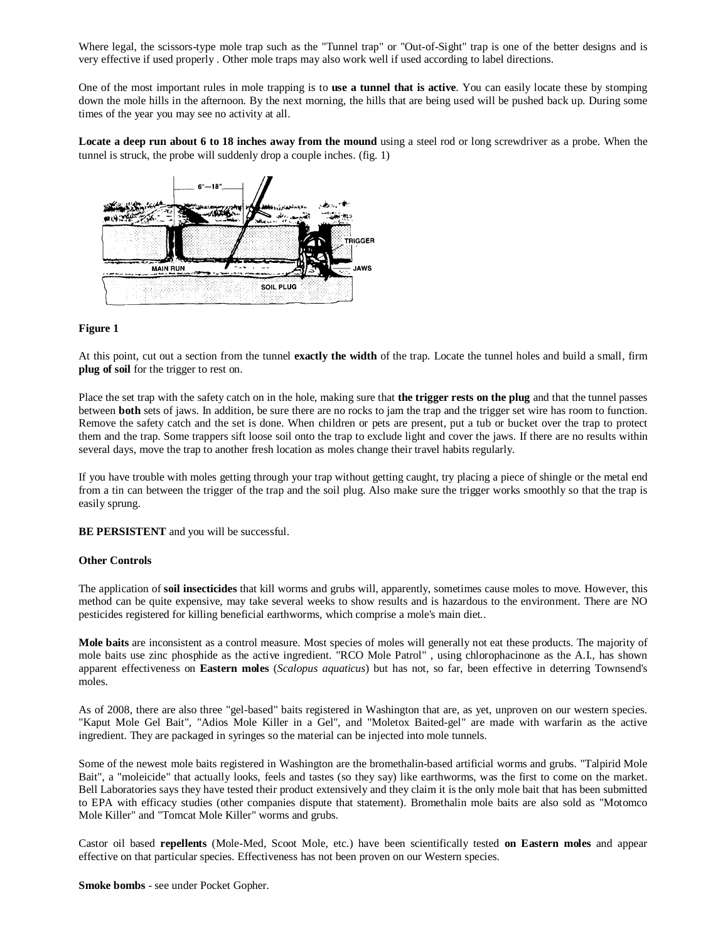Where legal, the scissors-type mole trap such as the "Tunnel trap" or "Out-of-Sight" trap is one of the better designs and is very effective if used properly . Other mole traps may also work well if used according to label directions.

One of the most important rules in mole trapping is to **use a tunnel that is active**. You can easily locate these by stomping down the mole hills in the afternoon. By the next morning, the hills that are being used will be pushed back up. During some times of the year you may see no activity at all.

**Locate a deep run about 6 to 18 inches away from the mound** using a steel rod or long screwdriver as a probe. When the tunnel is struck, the probe will suddenly drop a couple inches. (fig. 1)



#### **Figure 1**

At this point, cut out a section from the tunnel **exactly the width** of the trap. Locate the tunnel holes and build a small, firm **plug of soil** for the trigger to rest on.

Place the set trap with the safety catch on in the hole, making sure that **the trigger rests on the plug** and that the tunnel passes between **both** sets of jaws. In addition, be sure there are no rocks to jam the trap and the trigger set wire has room to function. Remove the safety catch and the set is done. When children or pets are present, put a tub or bucket over the trap to protect them and the trap. Some trappers sift loose soil onto the trap to exclude light and cover the jaws. If there are no results within several days, move the trap to another fresh location as moles change their travel habits regularly.

If you have trouble with moles getting through your trap without getting caught, try placing a piece of shingle or the metal end from a tin can between the trigger of the trap and the soil plug. Also make sure the trigger works smoothly so that the trap is easily sprung.

**BE PERSISTENT** and you will be successful.

#### **Other Controls**

The application of **soil insecticides** that kill worms and grubs will, apparently, sometimes cause moles to move. However, this method can be quite expensive, may take several weeks to show results and is hazardous to the environment. There are NO pesticides registered for killing beneficial earthworms, which comprise a mole's main diet..

**Mole baits** are inconsistent as a control measure. Most species of moles will generally not eat these products. The majority of mole baits use zinc phosphide as the active ingredient. "RCO Mole Patrol" , using chlorophacinone as the A.I., has shown apparent effectiveness on **Eastern moles** (*Scalopus aquaticus*) but has not, so far, been effective in deterring Townsend's moles.

As of 2008, there are also three "gel-based" baits registered in Washington that are, as yet, unproven on our western species. "Kaput Mole Gel Bait", "Adios Mole Killer in a Gel", and "Moletox Baited-gel" are made with warfarin as the active ingredient. They are packaged in syringes so the material can be injected into mole tunnels.

Some of the newest mole baits registered in Washington are the bromethalin-based artificial worms and grubs. "Talpirid Mole Bait", a "moleicide" that actually looks, feels and tastes (so they say) like earthworms, was the first to come on the market. Bell Laboratories says they have tested their product extensively and they claim it is the only mole bait that has been submitted to EPA with efficacy studies (other companies dispute that statement). Bromethalin mole baits are also sold as "Motomco Mole Killer" and "Tomcat Mole Killer" worms and grubs.

Castor oil based **repellents** (Mole-Med, Scoot Mole, etc.) have been scientifically tested **on Eastern moles** and appear effective on that particular species. Effectiveness has not been proven on our Western species.

**Smoke bombs** - see under Pocket Gopher.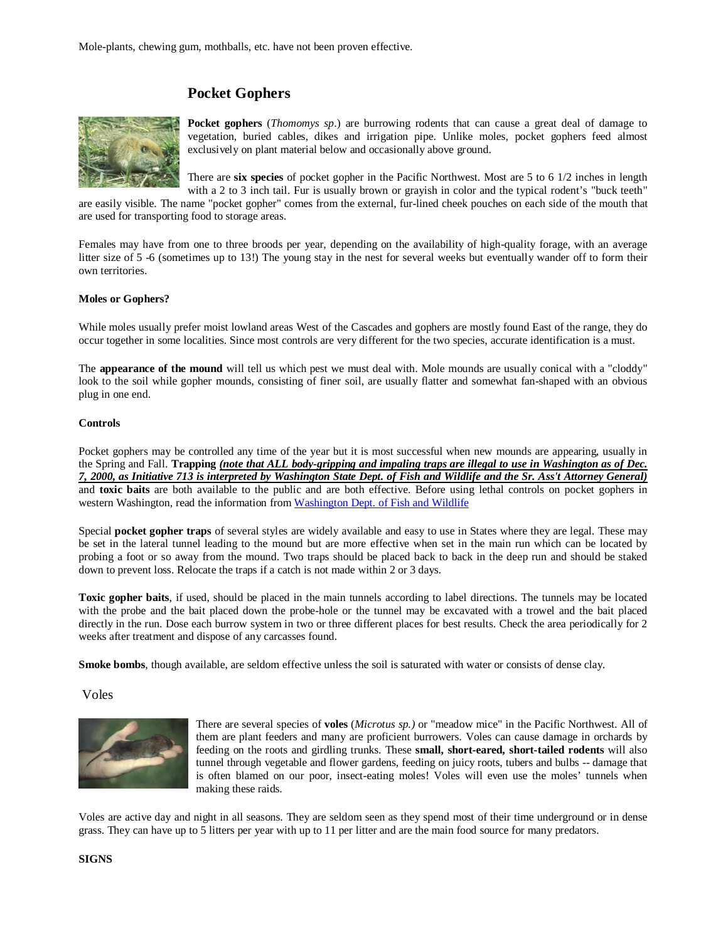# **Pocket Gophers**



**Pocket gophers** (*Thomomys sp*.) are burrowing rodents that can cause a great deal of damage to vegetation, buried cables, dikes and irrigation pipe. Unlike moles, pocket gophers feed almost exclusively on plant material below and occasionally above ground.

There are **six species** of pocket gopher in the Pacific Northwest. Most are 5 to 6 1/2 inches in length

with a 2 to 3 inch tail. Fur is usually brown or grayish in color and the typical rodent's "buck teeth" are easily visible. The name "pocket gopher" comes from the external, fur-lined cheek pouches on each side of the mouth that are used for transporting food to storage areas.

Females may have from one to three broods per year, depending on the availability of high-quality forage, with an average litter size of 5 -6 (sometimes up to 13!) The young stay in the nest for several weeks but eventually wander off to form their own territories.

## **Moles or Gophers?**

While moles usually prefer moist lowland areas West of the Cascades and gophers are mostly found East of the range, they do occur together in some localities. Since most controls are very different for the two species, accurate identification is a must.

The **appearance of the mound** will tell us which pest we must deal with. Mole mounds are usually conical with a "cloddy" look to the soil while gopher mounds, consisting of finer soil, are usually flatter and somewhat fan-shaped with an obvious plug in one end.

#### **Controls**

Pocket gophers may be controlled any time of the year but it is most successful when new mounds are appearing, usually in the Spring and Fall. **Trapping** *(note that ALL body-gripping and impaling traps are illegal to use in Washington as of Dec. 7, 2000, as Initiative 713 is interpreted by Washington State Dept. of Fish and Wildlife and the Sr. Ass't Attorney General)* and **toxic baits** are both available to the public and are both effective. Before using lethal controls on pocket gophers in western Washington, read the information from Washington Dept. of Fish and Wildlife

Special **pocket gopher traps** of several styles are widely available and easy to use in States where they are legal. These may be set in the lateral tunnel leading to the mound but are more effective when set in the main run which can be located by probing a foot or so away from the mound. Two traps should be placed back to back in the deep run and should be staked down to prevent loss. Relocate the traps if a catch is not made within 2 or 3 days.

**Toxic gopher baits**, if used, should be placed in the main tunnels according to label directions. The tunnels may be located with the probe and the bait placed down the probe-hole or the tunnel may be excavated with a trowel and the bait placed directly in the run. Dose each burrow system in two or three different places for best results. Check the area periodically for 2 weeks after treatment and dispose of any carcasses found.

**Smoke bombs**, though available, are seldom effective unless the soil is saturated with water or consists of dense clay.

Voles



There are several species of **voles** (*Microtus sp.)* or "meadow mice" in the Pacific Northwest. All of them are plant feeders and many are proficient burrowers. Voles can cause damage in orchards by feeding on the roots and girdling trunks. These **small, short-eared, short-tailed rodents** will also tunnel through vegetable and flower gardens, feeding on juicy roots, tubers and bulbs -- damage that is often blamed on our poor, insect-eating moles! Voles will even use the moles' tunnels when making these raids.

Voles are active day and night in all seasons. They are seldom seen as they spend most of their time underground or in dense grass. They can have up to 5 litters per year with up to 11 per litter and are the main food source for many predators.

#### **SIGNS**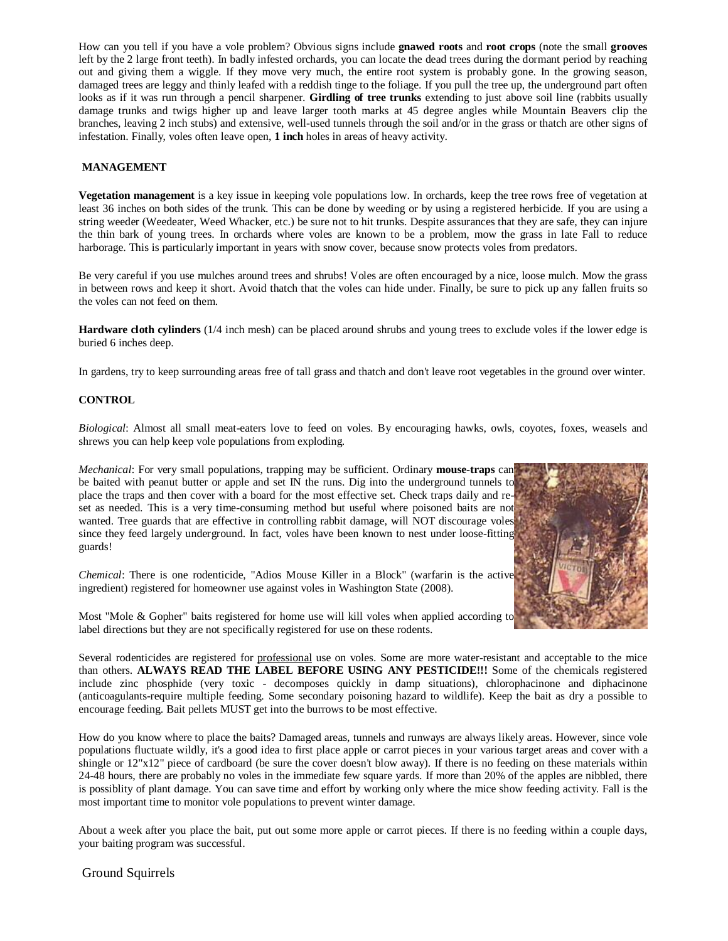How can you tell if you have a vole problem? Obvious signs include **gnawed roots** and **root crops** (note the small **grooves** left by the 2 large front teeth). In badly infested orchards, you can locate the dead trees during the dormant period by reaching out and giving them a wiggle. If they move very much, the entire root system is probably gone. In the growing season, damaged trees are leggy and thinly leafed with a reddish tinge to the foliage. If you pull the tree up, the underground part often looks as if it was run through a pencil sharpener. **Girdling of tree trunks** extending to just above soil line (rabbits usually damage trunks and twigs higher up and leave larger tooth marks at 45 degree angles while Mountain Beavers clip the branches, leaving 2 inch stubs) and extensive, well-used tunnels through the soil and/or in the grass or thatch are other signs of infestation. Finally, voles often leave open, **1 inch** holes in areas of heavy activity.

## **MANAGEMENT**

**Vegetation management** is a key issue in keeping vole populations low. In orchards, keep the tree rows free of vegetation at least 36 inches on both sides of the trunk. This can be done by weeding or by using a registered herbicide. If you are using a string weeder (Weedeater, Weed Whacker, etc.) be sure not to hit trunks. Despite assurances that they are safe, they can injure the thin bark of young trees. In orchards where voles are known to be a problem, mow the grass in late Fall to reduce harborage. This is particularly important in years with snow cover, because snow protects voles from predators.

Be very careful if you use mulches around trees and shrubs! Voles are often encouraged by a nice, loose mulch. Mow the grass in between rows and keep it short. Avoid thatch that the voles can hide under. Finally, be sure to pick up any fallen fruits so the voles can not feed on them.

**Hardware cloth cylinders** (1/4 inch mesh) can be placed around shrubs and young trees to exclude voles if the lower edge is buried 6 inches deep.

In gardens, try to keep surrounding areas free of tall grass and thatch and don't leave root vegetables in the ground over winter.

#### **CONTROL**

*Biological*: Almost all small meat-eaters love to feed on voles. By encouraging hawks, owls, coyotes, foxes, weasels and shrews you can help keep vole populations from exploding.

*Mechanical*: For very small populations, trapping may be sufficient. Ordinary **mouse-traps** can be baited with peanut butter or apple and set IN the runs. Dig into the underground tunnels to place the traps and then cover with a board for the most effective set. Check traps daily and reset as needed. This is a very time-consuming method but useful where poisoned baits are not wanted. Tree guards that are effective in controlling rabbit damage, will NOT discourage voles since they feed largely underground. In fact, voles have been known to nest under loose-fitting guards!

*Chemical*: There is one rodenticide, "Adios Mouse Killer in a Block" (warfarin is the active ingredient) registered for homeowner use against voles in Washington State (2008).

Most "Mole & Gopher" baits registered for home use will kill voles when applied according to label directions but they are not specifically registered for use on these rodents.

Several rodenticides are registered for professional use on voles. Some are more water-resistant and acceptable to the mice than others. **ALWAYS READ THE LABEL BEFORE USING ANY PESTICIDE!!!** Some of the chemicals registered include zinc phosphide (very toxic - decomposes quickly in damp situations), chlorophacinone and diphacinone (anticoagulants-require multiple feeding. Some secondary poisoning hazard to wildlife). Keep the bait as dry a possible to encourage feeding. Bait pellets MUST get into the burrows to be most effective.

How do you know where to place the baits? Damaged areas, tunnels and runways are always likely areas. However, since vole populations fluctuate wildly, it's a good idea to first place apple or carrot pieces in your various target areas and cover with a shingle or 12"x12" piece of cardboard (be sure the cover doesn't blow away). If there is no feeding on these materials within 24-48 hours, there are probably no voles in the immediate few square yards. If more than 20% of the apples are nibbled, there is possiblity of plant damage. You can save time and effort by working only where the mice show feeding activity. Fall is the most important time to monitor vole populations to prevent winter damage.

About a week after you place the bait, put out some more apple or carrot pieces. If there is no feeding within a couple days, your baiting program was successful.

Ground Squirrels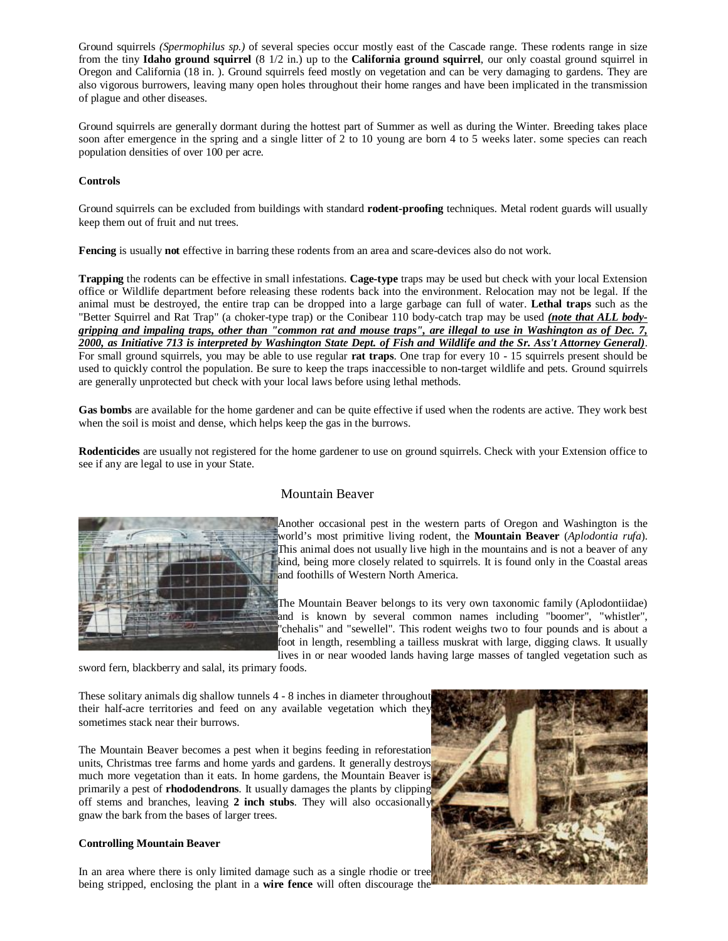Ground squirrels *(Spermophilus sp.)* of several species occur mostly east of the Cascade range. These rodents range in size from the tiny **Idaho ground squirrel** (8 1/2 in.) up to the **California ground squirrel**, our only coastal ground squirrel in Oregon and California (18 in. ). Ground squirrels feed mostly on vegetation and can be very damaging to gardens. They are also vigorous burrowers, leaving many open holes throughout their home ranges and have been implicated in the transmission of plague and other diseases.

Ground squirrels are generally dormant during the hottest part of Summer as well as during the Winter. Breeding takes place soon after emergence in the spring and a single litter of 2 to 10 young are born 4 to 5 weeks later. some species can reach population densities of over 100 per acre.

#### **Controls**

Ground squirrels can be excluded from buildings with standard **rodent-proofing** techniques. Metal rodent guards will usually keep them out of fruit and nut trees.

**Fencing** is usually **not** effective in barring these rodents from an area and scare-devices also do not work.

**Trapping** the rodents can be effective in small infestations. **Cage-type** traps may be used but check with your local Extension office or Wildlife department before releasing these rodents back into the environment. Relocation may not be legal. If the animal must be destroyed, the entire trap can be dropped into a large garbage can full of water. **Lethal traps** such as the "Better Squirrel and Rat Trap" (a choker-type trap) or the Conibear 110 body-catch trap may be used *(note that ALL bodygripping and impaling traps, other than "common rat and mouse traps", are illegal to use in Washington as of Dec. 7, 2000, as Initiative 713 is interpreted by Washington State Dept. of Fish and Wildlife and the Sr. Ass't Attorney General)*. For small ground squirrels, you may be able to use regular **rat traps**. One trap for every 10 - 15 squirrels present should be used to quickly control the population. Be sure to keep the traps inaccessible to non-target wildlife and pets. Ground squirrels are generally unprotected but check with your local laws before using lethal methods.

**Gas bombs** are available for the home gardener and can be quite effective if used when the rodents are active. They work best when the soil is moist and dense, which helps keep the gas in the burrows.

**Rodenticides** are usually not registered for the home gardener to use on ground squirrels. Check with your Extension office to see if any are legal to use in your State.



## Mountain Beaver

Another occasional pest in the western parts of Oregon and Washington is the world's most primitive living rodent, the **Mountain Beaver** (*Aplodontia rufa*). This animal does not usually live high in the mountains and is not a beaver of any kind, being more closely related to squirrels. It is found only in the Coastal areas and foothills of Western North America.

The Mountain Beaver belongs to its very own taxonomic family (Aplodontiidae) and is known by several common names including "boomer", "whistler", "chehalis" and "sewellel". This rodent weighs two to four pounds and is about a foot in length, resembling a tailless muskrat with large, digging claws. It usually lives in or near wooded lands having large masses of tangled vegetation such as

sword fern, blackberry and salal, its primary foods.

These solitary animals dig shallow tunnels 4 - 8 inches in diameter throughout their half-acre territories and feed on any available vegetation which they sometimes stack near their burrows.

The Mountain Beaver becomes a pest when it begins feeding in reforestation units, Christmas tree farms and home yards and gardens. It generally destroys much more vegetation than it eats. In home gardens, the Mountain Beaver is primarily a pest of **rhododendrons**. It usually damages the plants by clipping off stems and branches, leaving **2 inch stubs**. They will also occasionally gnaw the bark from the bases of larger trees.

## **Controlling Mountain Beaver**

In an area where there is only limited damage such as a single rhodie or tree being stripped, enclosing the plant in a **wire fence** will often discourage the

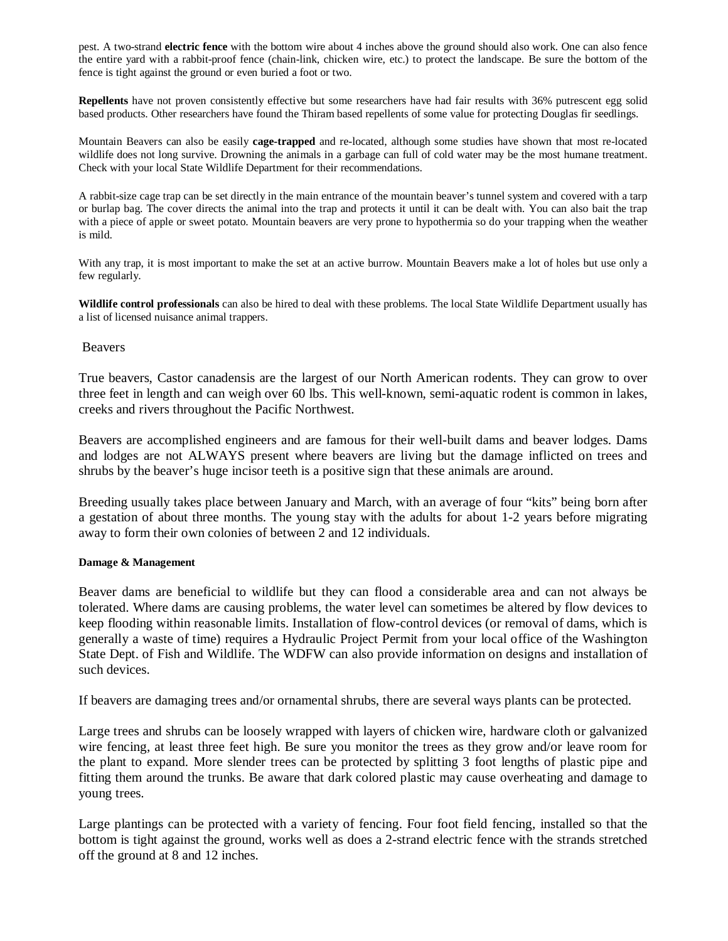pest. A two-strand **electric fence** with the bottom wire about 4 inches above the ground should also work. One can also fence the entire yard with a rabbit-proof fence (chain-link, chicken wire, etc.) to protect the landscape. Be sure the bottom of the fence is tight against the ground or even buried a foot or two.

**Repellents** have not proven consistently effective but some researchers have had fair results with 36% putrescent egg solid based products. Other researchers have found the Thiram based repellents of some value for protecting Douglas fir seedlings.

Mountain Beavers can also be easily **cage-trapped** and re-located, although some studies have shown that most re-located wildlife does not long survive. Drowning the animals in a garbage can full of cold water may be the most humane treatment. Check with your local State Wildlife Department for their recommendations.

A rabbit-size cage trap can be set directly in the main entrance of the mountain beaver's tunnel system and covered with a tarp or burlap bag. The cover directs the animal into the trap and protects it until it can be dealt with. You can also bait the trap with a piece of apple or sweet potato. Mountain beavers are very prone to hypothermia so do your trapping when the weather is mild.

With any trap, it is most important to make the set at an active burrow. Mountain Beavers make a lot of holes but use only a few regularly.

**Wildlife control professionals** can also be hired to deal with these problems. The local State Wildlife Department usually has a list of licensed nuisance animal trappers.

## Beavers

True beavers, Castor canadensis are the largest of our North American rodents. They can grow to over three feet in length and can weigh over 60 lbs. This well-known, semi-aquatic rodent is common in lakes, creeks and rivers throughout the Pacific Northwest.

Beavers are accomplished engineers and are famous for their well-built dams and beaver lodges. Dams and lodges are not ALWAYS present where beavers are living but the damage inflicted on trees and shrubs by the beaver's huge incisor teeth is a positive sign that these animals are around.

Breeding usually takes place between January and March, with an average of four "kits" being born after a gestation of about three months. The young stay with the adults for about 1-2 years before migrating away to form their own colonies of between 2 and 12 individuals.

## **Damage & Management**

Beaver dams are beneficial to wildlife but they can flood a considerable area and can not always be tolerated. Where dams are causing problems, the water level can sometimes be altered by flow devices to keep flooding within reasonable limits. Installation of flow-control devices (or removal of dams, which is generally a waste of time) requires a Hydraulic Project Permit from your local office of the Washington State Dept. of Fish and Wildlife. The WDFW can also provide information on designs and installation of such devices.

If beavers are damaging trees and/or ornamental shrubs, there are several ways plants can be protected.

Large trees and shrubs can be loosely wrapped with layers of chicken wire, hardware cloth or galvanized wire fencing, at least three feet high. Be sure you monitor the trees as they grow and/or leave room for the plant to expand. More slender trees can be protected by splitting 3 foot lengths of plastic pipe and fitting them around the trunks. Be aware that dark colored plastic may cause overheating and damage to young trees.

Large plantings can be protected with a variety of fencing. Four foot field fencing, installed so that the bottom is tight against the ground, works well as does a 2-strand electric fence with the strands stretched off the ground at 8 and 12 inches.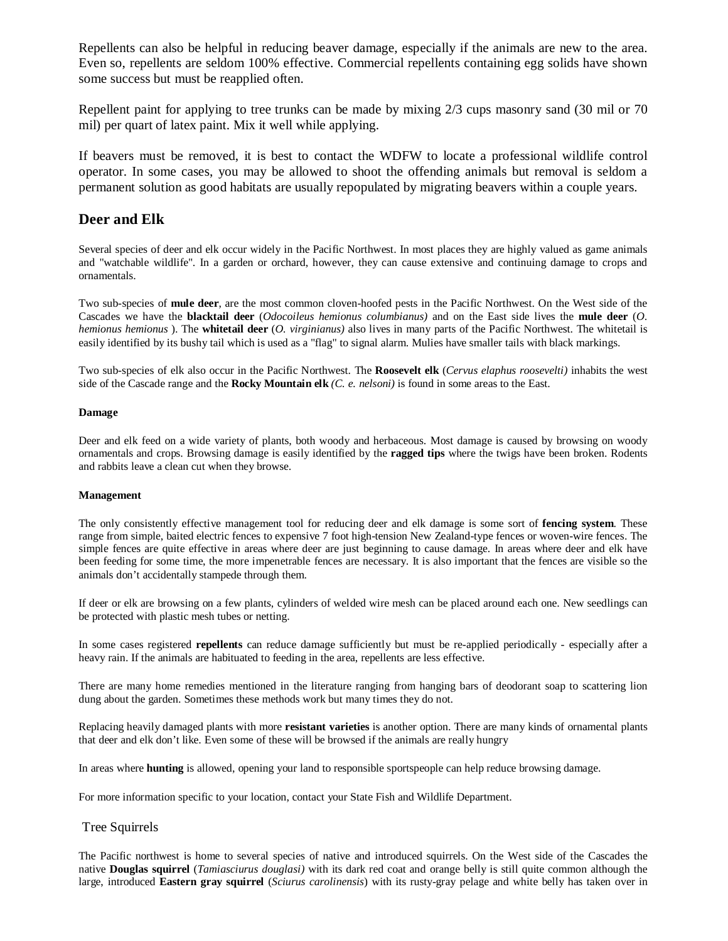Repellents can also be helpful in reducing beaver damage, especially if the animals are new to the area. Even so, repellents are seldom 100% effective. Commercial repellents containing egg solids have shown some success but must be reapplied often.

Repellent paint for applying to tree trunks can be made by mixing 2/3 cups masonry sand (30 mil or 70 mil) per quart of latex paint. Mix it well while applying.

If beavers must be removed, it is best to contact the WDFW to locate a professional wildlife control operator. In some cases, you may be allowed to shoot the offending animals but removal is seldom a permanent solution as good habitats are usually repopulated by migrating beavers within a couple years.

# **Deer and Elk**

Several species of deer and elk occur widely in the Pacific Northwest. In most places they are highly valued as game animals and "watchable wildlife". In a garden or orchard, however, they can cause extensive and continuing damage to crops and ornamentals.

Two sub-species of **mule deer**, are the most common cloven-hoofed pests in the Pacific Northwest. On the West side of the Cascades we have the **blacktail deer** (*Odocoileus hemionus columbianus)* and on the East side lives the **mule deer** (*O. hemionus hemionus* ). The **whitetail deer** (*O. virginianus)* also lives in many parts of the Pacific Northwest. The whitetail is easily identified by its bushy tail which is used as a "flag" to signal alarm. Mulies have smaller tails with black markings.

Two sub-species of elk also occur in the Pacific Northwest. The **Roosevelt elk** (*Cervus elaphus roosevelti)* inhabits the west side of the Cascade range and the **Rocky Mountain elk** *(C. e. nelsoni)* is found in some areas to the East.

#### **Damage**

Deer and elk feed on a wide variety of plants, both woody and herbaceous. Most damage is caused by browsing on woody ornamentals and crops. Browsing damage is easily identified by the **ragged tips** where the twigs have been broken. Rodents and rabbits leave a clean cut when they browse.

#### **Management**

The only consistently effective management tool for reducing deer and elk damage is some sort of **fencing system**. These range from simple, baited electric fences to expensive 7 foot high-tension New Zealand-type fences or woven-wire fences. The simple fences are quite effective in areas where deer are just beginning to cause damage. In areas where deer and elk have been feeding for some time, the more impenetrable fences are necessary. It is also important that the fences are visible so the animals don't accidentally stampede through them.

If deer or elk are browsing on a few plants, cylinders of welded wire mesh can be placed around each one. New seedlings can be protected with plastic mesh tubes or netting.

In some cases registered **repellents** can reduce damage sufficiently but must be re-applied periodically - especially after a heavy rain. If the animals are habituated to feeding in the area, repellents are less effective.

There are many home remedies mentioned in the literature ranging from hanging bars of deodorant soap to scattering lion dung about the garden. Sometimes these methods work but many times they do not.

Replacing heavily damaged plants with more **resistant varieties** is another option. There are many kinds of ornamental plants that deer and elk don't like. Even some of these will be browsed if the animals are really hungry

In areas where **hunting** is allowed, opening your land to responsible sportspeople can help reduce browsing damage.

For more information specific to your location, contact your State Fish and Wildlife Department.

## Tree Squirrels

The Pacific northwest is home to several species of native and introduced squirrels. On the West side of the Cascades the native **Douglas squirrel** (*Tamiasciurus douglasi)* with its dark red coat and orange belly is still quite common although the large, introduced **Eastern gray squirrel** (*Sciurus carolinensis*) with its rusty-gray pelage and white belly has taken over in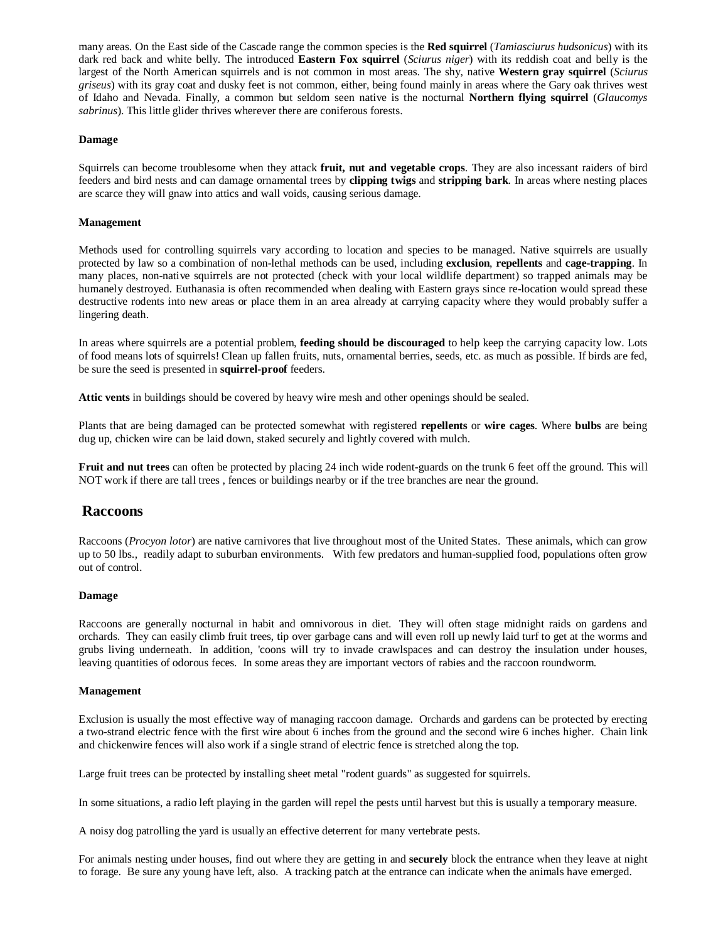many areas. On the East side of the Cascade range the common species is the **Red squirrel** (*Tamiasciurus hudsonicus*) with its dark red back and white belly. The introduced **Eastern Fox squirrel** (*Sciurus niger*) with its reddish coat and belly is the largest of the North American squirrels and is not common in most areas. The shy, native **Western gray squirrel** (*Sciurus griseus*) with its gray coat and dusky feet is not common, either, being found mainly in areas where the Gary oak thrives west of Idaho and Nevada. Finally, a common but seldom seen native is the nocturnal **Northern flying squirrel** (*Glaucomys sabrinus*). This little glider thrives wherever there are coniferous forests.

#### **Damage**

Squirrels can become troublesome when they attack **fruit, nut and vegetable crops**. They are also incessant raiders of bird feeders and bird nests and can damage ornamental trees by **clipping twigs** and **stripping bark**. In areas where nesting places are scarce they will gnaw into attics and wall voids, causing serious damage.

#### **Management**

Methods used for controlling squirrels vary according to location and species to be managed. Native squirrels are usually protected by law so a combination of non-lethal methods can be used, including **exclusion**, **repellents** and **cage-trapping**. In many places, non-native squirrels are not protected (check with your local wildlife department) so trapped animals may be humanely destroyed. Euthanasia is often recommended when dealing with Eastern grays since re-location would spread these destructive rodents into new areas or place them in an area already at carrying capacity where they would probably suffer a lingering death.

In areas where squirrels are a potential problem, **feeding should be discouraged** to help keep the carrying capacity low. Lots of food means lots of squirrels! Clean up fallen fruits, nuts, ornamental berries, seeds, etc. as much as possible. If birds are fed, be sure the seed is presented in **squirrel-proof** feeders.

**Attic vents** in buildings should be covered by heavy wire mesh and other openings should be sealed.

Plants that are being damaged can be protected somewhat with registered **repellents** or **wire cages**. Where **bulbs** are being dug up, chicken wire can be laid down, staked securely and lightly covered with mulch.

**Fruit and nut trees** can often be protected by placing 24 inch wide rodent-guards on the trunk 6 feet off the ground. This will NOT work if there are tall trees , fences or buildings nearby or if the tree branches are near the ground.

## **Raccoons**

Raccoons (*Procyon lotor*) are native carnivores that live throughout most of the United States. These animals, which can grow up to 50 lbs., readily adapt to suburban environments. With few predators and human-supplied food, populations often grow out of control.

#### **Damage**

Raccoons are generally nocturnal in habit and omnivorous in diet. They will often stage midnight raids on gardens and orchards. They can easily climb fruit trees, tip over garbage cans and will even roll up newly laid turf to get at the worms and grubs living underneath. In addition, 'coons will try to invade crawlspaces and can destroy the insulation under houses, leaving quantities of odorous feces. In some areas they are important vectors of rabies and the raccoon roundworm.

#### **Management**

Exclusion is usually the most effective way of managing raccoon damage. Orchards and gardens can be protected by erecting a two-strand electric fence with the first wire about 6 inches from the ground and the second wire 6 inches higher. Chain link and chickenwire fences will also work if a single strand of electric fence is stretched along the top.

Large fruit trees can be protected by installing sheet metal "rodent guards" as suggested for squirrels.

In some situations, a radio left playing in the garden will repel the pests until harvest but this is usually a temporary measure.

A noisy dog patrolling the yard is usually an effective deterrent for many vertebrate pests.

For animals nesting under houses, find out where they are getting in and **securely** block the entrance when they leave at night to forage. Be sure any young have left, also. A tracking patch at the entrance can indicate when the animals have emerged.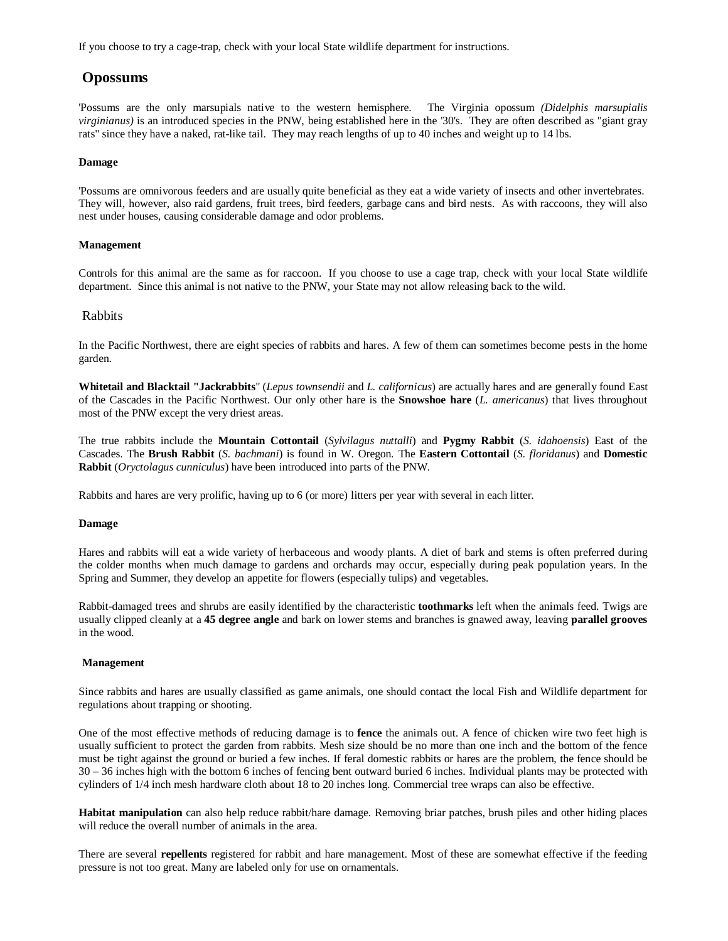If you choose to try a cage-trap, check with your local State wildlife department for instructions.

# **Opossums**

'Possums are the only marsupials native to the western hemisphere. The Virginia opossum *(Didelphis marsupialis virginianus)* is an introduced species in the PNW, being established here in the '30's. They are often described as "giant gray rats" since they have a naked, rat-like tail. They may reach lengths of up to 40 inches and weight up to 14 lbs.

#### **Damage**

'Possums are omnivorous feeders and are usually quite beneficial as they eat a wide variety of insects and other invertebrates. They will, however, also raid gardens, fruit trees, bird feeders, garbage cans and bird nests. As with raccoons, they will also nest under houses, causing considerable damage and odor problems.

## **Management**

Controls for this animal are the same as for raccoon. If you choose to use a cage trap, check with your local State wildlife department. Since this animal is not native to the PNW, your State may not allow releasing back to the wild.

## Rabbits

In the Pacific Northwest, there are eight species of rabbits and hares. A few of them can sometimes become pests in the home garden.

**Whitetail and Blacktail "Jackrabbits**" (*Lepus townsendii* and *L. californicus*) are actually hares and are generally found East of the Cascades in the Pacific Northwest. Our only other hare is the **Snowshoe hare** (*L. americanus*) that lives throughout most of the PNW except the very driest areas.

The true rabbits include the **Mountain Cottontail** (*Sylvilagus nuttalli*) and **Pygmy Rabbit** (*S. idahoensis*) East of the Cascades. The **Brush Rabbit** (*S. bachmani*) is found in W. Oregon. The **Eastern Cottontail** (*S. floridanus*) and **Domestic Rabbit** (*Oryctolagus cunniculus*) have been introduced into parts of the PNW.

Rabbits and hares are very prolific, having up to 6 (or more) litters per year with several in each litter.

#### **Damage**

Hares and rabbits will eat a wide variety of herbaceous and woody plants. A diet of bark and stems is often preferred during the colder months when much damage to gardens and orchards may occur, especially during peak population years. In the Spring and Summer, they develop an appetite for flowers (especially tulips) and vegetables.

Rabbit-damaged trees and shrubs are easily identified by the characteristic **toothmarks** left when the animals feed. Twigs are usually clipped cleanly at a **45 degree angle** and bark on lower stems and branches is gnawed away, leaving **parallel grooves** in the wood.

#### **Management**

Since rabbits and hares are usually classified as game animals, one should contact the local Fish and Wildlife department for regulations about trapping or shooting.

One of the most effective methods of reducing damage is to **fence** the animals out. A fence of chicken wire two feet high is usually sufficient to protect the garden from rabbits. Mesh size should be no more than one inch and the bottom of the fence must be tight against the ground or buried a few inches. If feral domestic rabbits or hares are the problem, the fence should be 30 – 36 inches high with the bottom 6 inches of fencing bent outward buried 6 inches. Individual plants may be protected with cylinders of 1/4 inch mesh hardware cloth about 18 to 20 inches long. Commercial tree wraps can also be effective.

**Habitat manipulation** can also help reduce rabbit/hare damage. Removing briar patches, brush piles and other hiding places will reduce the overall number of animals in the area.

There are several **repellents** registered for rabbit and hare management. Most of these are somewhat effective if the feeding pressure is not too great. Many are labeled only for use on ornamentals.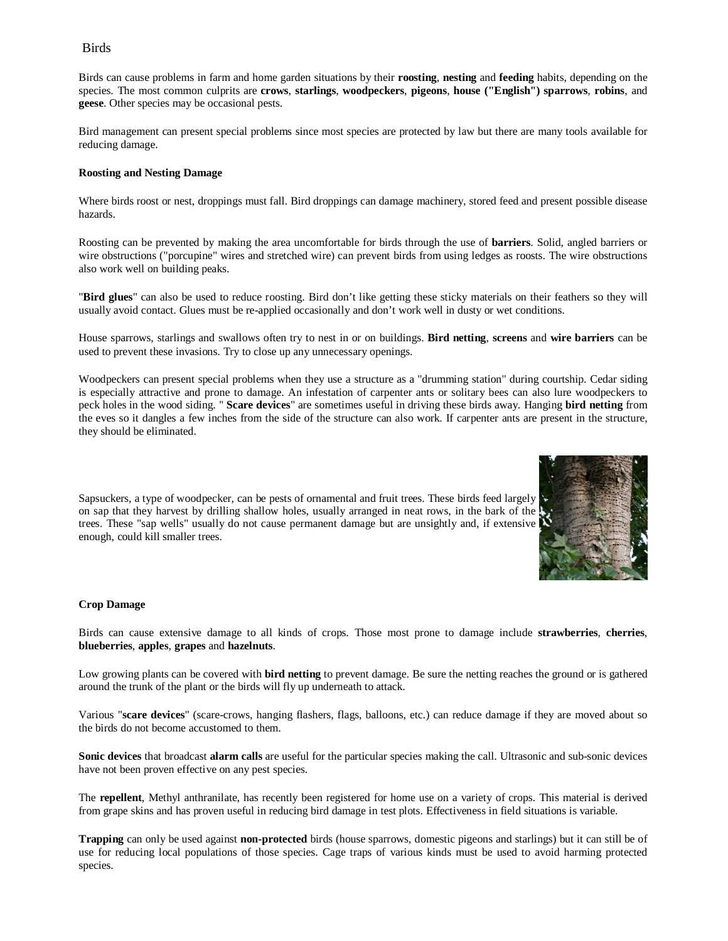## Birds

Birds can cause problems in farm and home garden situations by their **roosting**, **nesting** and **feeding** habits, depending on the species. The most common culprits are **crows**, **starlings**, **woodpeckers**, **pigeons**, **house ("English") sparrows**, **robins**, and **geese**. Other species may be occasional pests.

Bird management can present special problems since most species are protected by law but there are many tools available for reducing damage.

#### **Roosting and Nesting Damage**

Where birds roost or nest, droppings must fall. Bird droppings can damage machinery, stored feed and present possible disease hazards.

Roosting can be prevented by making the area uncomfortable for birds through the use of **barriers**. Solid, angled barriers or wire obstructions ("porcupine" wires and stretched wire) can prevent birds from using ledges as roosts. The wire obstructions also work well on building peaks.

"**Bird glues**" can also be used to reduce roosting. Bird don't like getting these sticky materials on their feathers so they will usually avoid contact. Glues must be re-applied occasionally and don't work well in dusty or wet conditions.

House sparrows, starlings and swallows often try to nest in or on buildings. **Bird netting**, **screens** and **wire barriers** can be used to prevent these invasions. Try to close up any unnecessary openings.

Woodpeckers can present special problems when they use a structure as a "drumming station" during courtship. Cedar siding is especially attractive and prone to damage. An infestation of carpenter ants or solitary bees can also lure woodpeckers to peck holes in the wood siding. " **Scare devices**" are sometimes useful in driving these birds away. Hanging **bird netting** from the eves so it dangles a few inches from the side of the structure can also work. If carpenter ants are present in the structure, they should be eliminated.



Sapsuckers, a type of woodpecker, can be pests of ornamental and fruit trees. These birds feed largely on sap that they harvest by drilling shallow holes, usually arranged in neat rows, in the bark of the trees. These "sap wells" usually do not cause permanent damage but are unsightly and, if extensive enough, could kill smaller trees.

#### **Crop Damage**

Birds can cause extensive damage to all kinds of crops. Those most prone to damage include **strawberries**, **cherries**, **blueberries**, **apples**, **grapes** and **hazelnuts**.

Low growing plants can be covered with **bird netting** to prevent damage. Be sure the netting reaches the ground or is gathered around the trunk of the plant or the birds will fly up underneath to attack.

Various "**scare devices**" (scare-crows, hanging flashers, flags, balloons, etc.) can reduce damage if they are moved about so the birds do not become accustomed to them.

**Sonic devices** that broadcast **alarm calls** are useful for the particular species making the call. Ultrasonic and sub-sonic devices have not been proven effective on any pest species.

The **repellent**, Methyl anthranilate, has recently been registered for home use on a variety of crops. This material is derived from grape skins and has proven useful in reducing bird damage in test plots. Effectiveness in field situations is variable.

**Trapping** can only be used against **non-protected** birds (house sparrows, domestic pigeons and starlings) but it can still be of use for reducing local populations of those species. Cage traps of various kinds must be used to avoid harming protected species.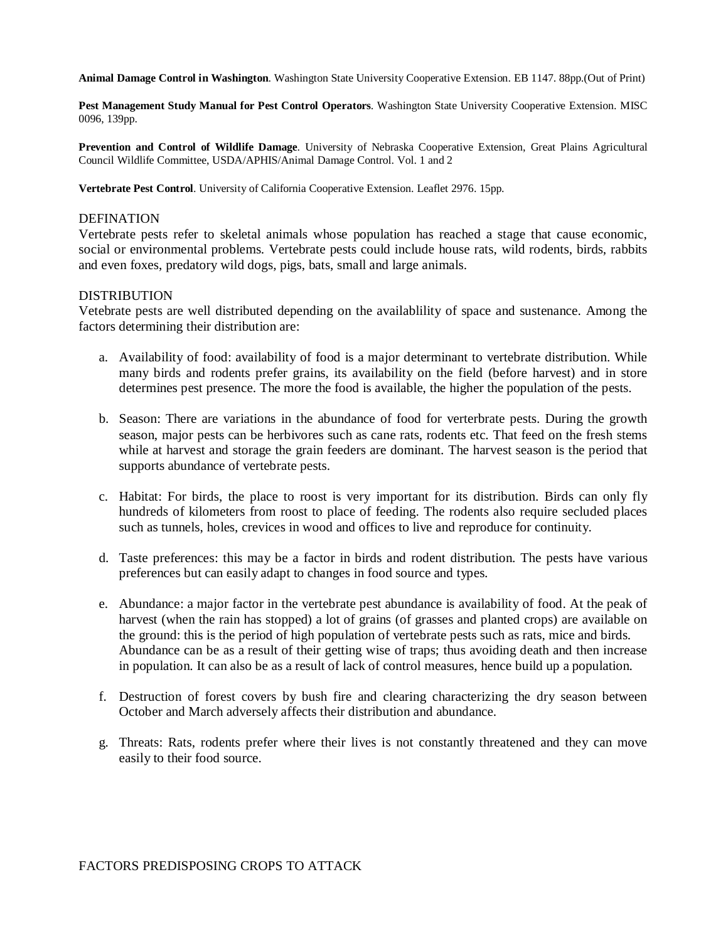**Animal Damage Control in Washington**. Washington State University Cooperative Extension. EB 1147. 88pp.(Out of Print)

**Pest Management Study Manual for Pest Control Operators**. Washington State University Cooperative Extension. MISC 0096, 139pp.

**Prevention and Control of Wildlife Damage**. University of Nebraska Cooperative Extension, Great Plains Agricultural Council Wildlife Committee, USDA/APHIS/Animal Damage Control. Vol. 1 and 2

**Vertebrate Pest Control**. University of California Cooperative Extension. Leaflet 2976. 15pp.

## **DEFINATION**

Vertebrate pests refer to skeletal animals whose population has reached a stage that cause economic, social or environmental problems. Vertebrate pests could include house rats, wild rodents, birds, rabbits and even foxes, predatory wild dogs, pigs, bats, small and large animals.

## DISTRIBUTION

Vetebrate pests are well distributed depending on the availablility of space and sustenance. Among the factors determining their distribution are:

- a. Availability of food: availability of food is a major determinant to vertebrate distribution. While many birds and rodents prefer grains, its availability on the field (before harvest) and in store determines pest presence. The more the food is available, the higher the population of the pests.
- b. Season: There are variations in the abundance of food for verterbrate pests. During the growth season, major pests can be herbivores such as cane rats, rodents etc. That feed on the fresh stems while at harvest and storage the grain feeders are dominant. The harvest season is the period that supports abundance of vertebrate pests.
- c. Habitat: For birds, the place to roost is very important for its distribution. Birds can only fly hundreds of kilometers from roost to place of feeding. The rodents also require secluded places such as tunnels, holes, crevices in wood and offices to live and reproduce for continuity.
- d. Taste preferences: this may be a factor in birds and rodent distribution. The pests have various preferences but can easily adapt to changes in food source and types.
- e. Abundance: a major factor in the vertebrate pest abundance is availability of food. At the peak of harvest (when the rain has stopped) a lot of grains (of grasses and planted crops) are available on the ground: this is the period of high population of vertebrate pests such as rats, mice and birds. Abundance can be as a result of their getting wise of traps; thus avoiding death and then increase in population. It can also be as a result of lack of control measures, hence build up a population.
- f. Destruction of forest covers by bush fire and clearing characterizing the dry season between October and March adversely affects their distribution and abundance.
- g. Threats: Rats, rodents prefer where their lives is not constantly threatened and they can move easily to their food source.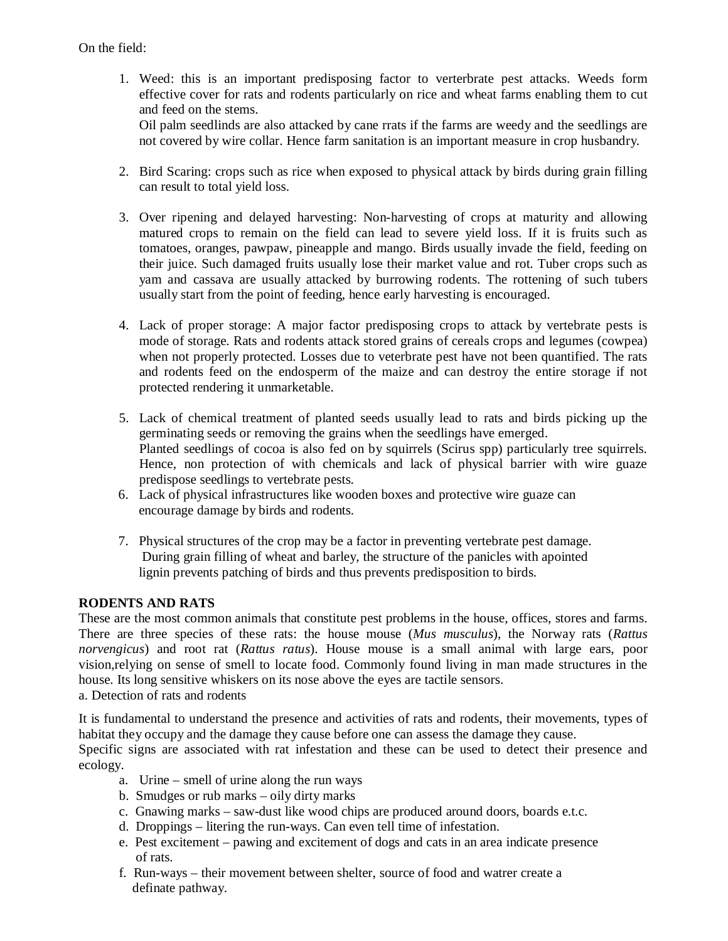On the field:

- 1. Weed: this is an important predisposing factor to verterbrate pest attacks. Weeds form effective cover for rats and rodents particularly on rice and wheat farms enabling them to cut and feed on the stems. Oil palm seedlinds are also attacked by cane rrats if the farms are weedy and the seedlings are not covered by wire collar. Hence farm sanitation is an important measure in crop husbandry.
- 2. Bird Scaring: crops such as rice when exposed to physical attack by birds during grain filling can result to total yield loss.
- 3. Over ripening and delayed harvesting: Non-harvesting of crops at maturity and allowing matured crops to remain on the field can lead to severe yield loss. If it is fruits such as tomatoes, oranges, pawpaw, pineapple and mango. Birds usually invade the field, feeding on their juice. Such damaged fruits usually lose their market value and rot. Tuber crops such as yam and cassava are usually attacked by burrowing rodents. The rottening of such tubers usually start from the point of feeding, hence early harvesting is encouraged.
- 4. Lack of proper storage: A major factor predisposing crops to attack by vertebrate pests is mode of storage. Rats and rodents attack stored grains of cereals crops and legumes (cowpea) when not properly protected. Losses due to veterbrate pest have not been quantified. The rats and rodents feed on the endosperm of the maize and can destroy the entire storage if not protected rendering it unmarketable.
- 5. Lack of chemical treatment of planted seeds usually lead to rats and birds picking up the germinating seeds or removing the grains when the seedlings have emerged. Planted seedlings of cocoa is also fed on by squirrels (Scirus spp) particularly tree squirrels. Hence, non protection of with chemicals and lack of physical barrier with wire guaze predispose seedlings to vertebrate pests.
- 6. Lack of physical infrastructures like wooden boxes and protective wire guaze can encourage damage by birds and rodents.
- 7. Physical structures of the crop may be a factor in preventing vertebrate pest damage. During grain filling of wheat and barley, the structure of the panicles with apointed lignin prevents patching of birds and thus prevents predisposition to birds.

# **RODENTS AND RATS**

These are the most common animals that constitute pest problems in the house, offices, stores and farms. There are three species of these rats: the house mouse (*Mus musculus*), the Norway rats (*Rattus norvengicus*) and root rat (*Rattus ratus*). House mouse is a small animal with large ears, poor vision,relying on sense of smell to locate food. Commonly found living in man made structures in the house. Its long sensitive whiskers on its nose above the eyes are tactile sensors. a. Detection of rats and rodents

It is fundamental to understand the presence and activities of rats and rodents, their movements, types of habitat they occupy and the damage they cause before one can assess the damage they cause.

Specific signs are associated with rat infestation and these can be used to detect their presence and ecology.

- a. Urine smell of urine along the run ways
- b. Smudges or rub marks oily dirty marks
- c. Gnawing marks saw-dust like wood chips are produced around doors, boards e.t.c.
- d. Droppings litering the run-ways. Can even tell time of infestation.
- e. Pest excitement pawing and excitement of dogs and cats in an area indicate presence of rats.
- f. Run-ways their movement between shelter, source of food and watrer create a definate pathway.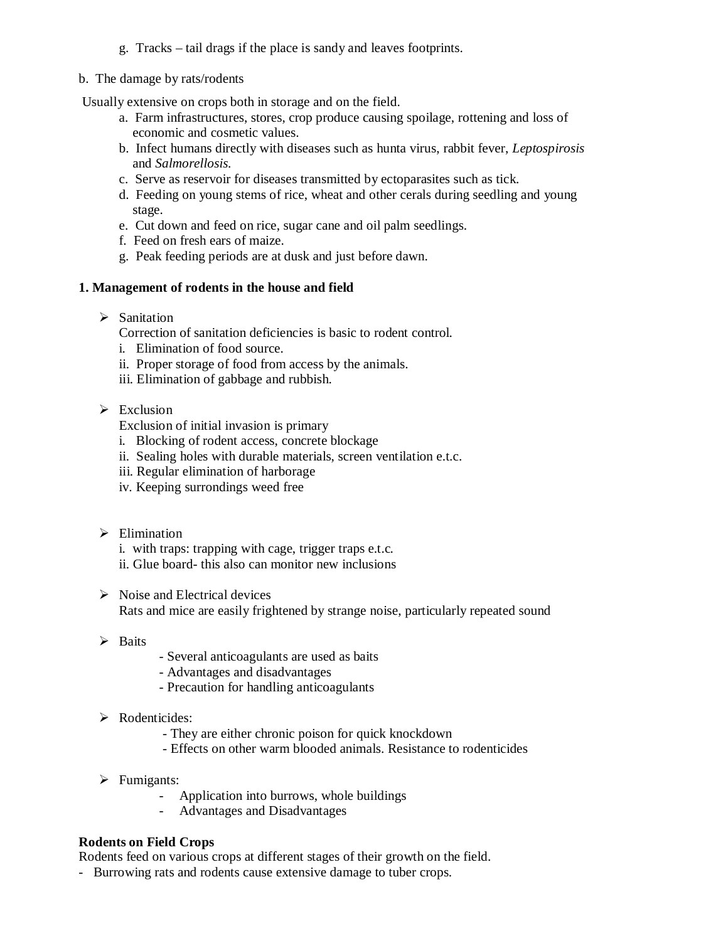- g. Tracks tail drags if the place is sandy and leaves footprints.
- b. The damage by rats/rodents

Usually extensive on crops both in storage and on the field.

- a. Farm infrastructures, stores, crop produce causing spoilage, rottening and loss of economic and cosmetic values.
- b. Infect humans directly with diseases such as hunta virus, rabbit fever, *Leptospirosis* and *Salmorellosis.*
- c. Serve as reservoir for diseases transmitted by ectoparasites such as tick.
- d. Feeding on young stems of rice, wheat and other cerals during seedling and young stage.
- e. Cut down and feed on rice, sugar cane and oil palm seedlings.
- f. Feed on fresh ears of maize.
- g. Peak feeding periods are at dusk and just before dawn.

# **1. Management of rodents in the house and field**

 $\triangleright$  Sanitation

Correction of sanitation deficiencies is basic to rodent control.

- i. Elimination of food source.
- ii. Proper storage of food from access by the animals.
- iii. Elimination of gabbage and rubbish.
- $\triangleright$  Exclusion
	- Exclusion of initial invasion is primary
	- i. Blocking of rodent access, concrete blockage
	- ii. Sealing holes with durable materials, screen ventilation e.t.c.
	- iii. Regular elimination of harborage
	- iv. Keeping surrondings weed free
- $\triangleright$  Elimination
	- i. with traps: trapping with cage, trigger traps e.t.c.
	- ii. Glue board- this also can monitor new inclusions
- $\triangleright$  Noise and Electrical devices Rats and mice are easily frightened by strange noise, particularly repeated sound
- $\triangleright$  Baits
- Several anticoagulants are used as baits
- Advantages and disadvantages
- Precaution for handling anticoagulants
- $\triangleright$  Rodenticides:
	- They are either chronic poison for quick knockdown
	- Effects on other warm blooded animals. Resistance to rodenticides
- $\triangleright$  Fumigants:
	- Application into burrows, whole buildings
	- Advantages and Disadvantages

# **Rodents on Field Crops**

Rodents feed on various crops at different stages of their growth on the field.

- Burrowing rats and rodents cause extensive damage to tuber crops.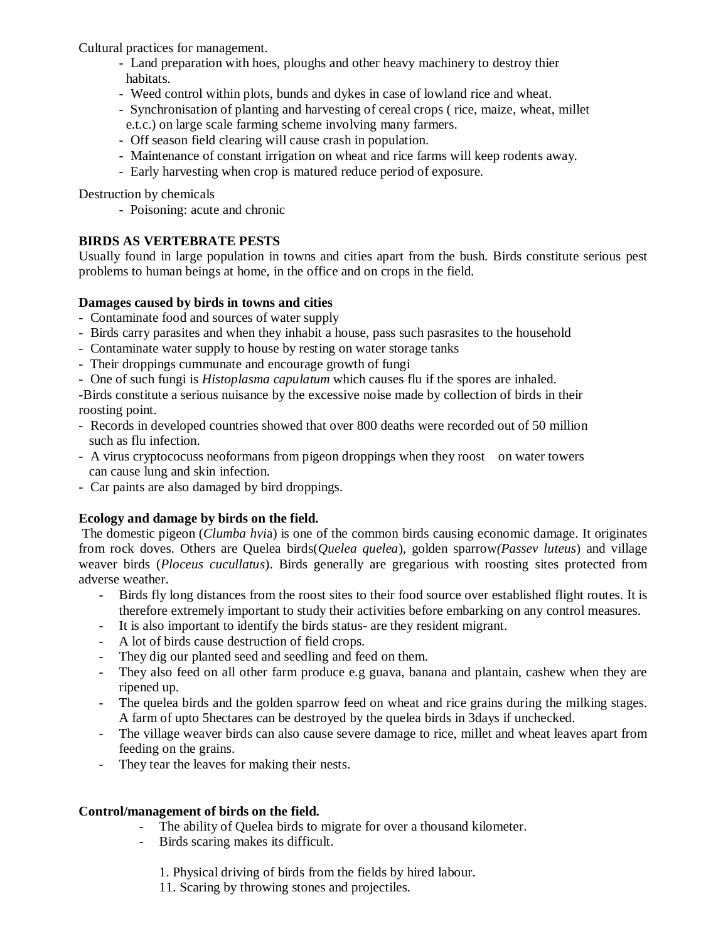Cultural practices for management.

- Land preparation with hoes, ploughs and other heavy machinery to destroy thier habitats.
- Weed control within plots, bunds and dykes in case of lowland rice and wheat.
- Synchronisation of planting and harvesting of cereal crops ( rice, maize, wheat, millet e.t.c.) on large scale farming scheme involving many farmers.
- Off season field clearing will cause crash in population.
- Maintenance of constant irrigation on wheat and rice farms will keep rodents away.
- Early harvesting when crop is matured reduce period of exposure.

Destruction by chemicals

- Poisoning: acute and chronic

# **BIRDS AS VERTEBRATE PESTS**

Usually found in large population in towns and cities apart from the bush. Birds constitute serious pest problems to human beings at home, in the office and on crops in the field.

# **Damages caused by birds in towns and cities**

- Contaminate food and sources of water supply
- Birds carry parasites and when they inhabit a house, pass such pasrasites to the household
- Contaminate water supply to house by resting on water storage tanks
- Their droppings cummunate and encourage growth of fungi
- One of such fungi is *Histoplasma capulatum* which causes flu if the spores are inhaled.

-Birds constitute a serious nuisance by the excessive noise made by collection of birds in their roosting point.

- Records in developed countries showed that over 800 deaths were recorded out of 50 million such as flu infection.
- A virus cryptococuss neoformans from pigeon droppings when they roost on water towers can cause lung and skin infection.
- Car paints are also damaged by bird droppings.

# **Ecology and damage by birds on the field.**

The domestic pigeon (*Clumba hvi*a) is one of the common birds causing economic damage. It originates from rock doves. Others are Quelea birds(*Quelea quelea*), golden sparrow*(Passev luteus*) and village weaver birds (*Ploceus cucullatus*). Birds generally are gregarious with roosting sites protected from adverse weather.

- Birds fly long distances from the roost sites to their food source over established flight routes. It is therefore extremely important to study their activities before embarking on any control measures.
- It is also important to identify the birds status- are they resident migrant.
- A lot of birds cause destruction of field crops.
- They dig our planted seed and seedling and feed on them.
- They also feed on all other farm produce e.g guava, banana and plantain, cashew when they are ripened up.
- The quelea birds and the golden sparrow feed on wheat and rice grains during the milking stages. A farm of upto 5hectares can be destroyed by the quelea birds in 3days if unchecked.
- The village weaver birds can also cause severe damage to rice, millet and wheat leaves apart from feeding on the grains.
- They tear the leaves for making their nests.

# **Control/management of birds on the field.**

- The ability of Quelea birds to migrate for over a thousand kilometer.
- Birds scaring makes its difficult.
	- 1. Physical driving of birds from the fields by hired labour.
	- 11. Scaring by throwing stones and projectiles.